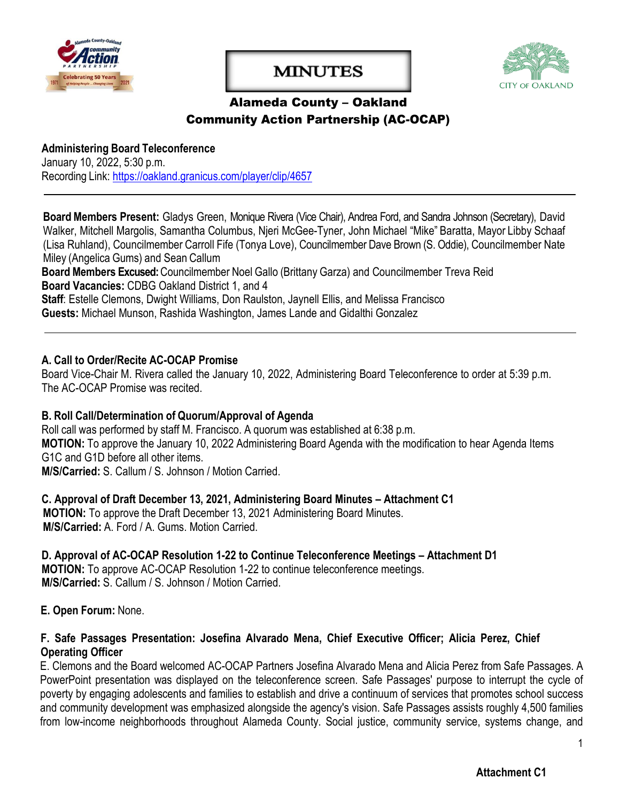

# **MINUTES**



# Alameda County – Oakland Community Action Partnership (AC-OCAP)

**Administering Board Teleconference** January 10, 2022, 5:30 p.m. Recording Link:<https://oakland.granicus.com/player/clip/4657>

**Board Members Present:** Gladys Green, Monique Rivera (Vice Chair), Andrea Ford, and Sandra Johnson (Secretary), David Walker, Mitchell Margolis, Samantha Columbus, Njeri McGee-Tyner, John Michael "Mike" Baratta, Mayor Libby Schaaf (Lisa Ruhland), Councilmember Carroll Fife (Tonya Love), Councilmember Dave Brown (S. Oddie), Councilmember Nate Miley (Angelica Gums) and Sean Callum

**Board Members Excused:** Councilmember Noel Gallo (Brittany Garza) and Councilmember Treva Reid **Board Vacancies:** CDBG Oakland District 1, and 4

**Staff**: Estelle Clemons, Dwight Williams, Don Raulston, Jaynell Ellis, and Melissa Francisco

**Guests:** Michael Munson, Rashida Washington, James Lande and Gidalthi Gonzalez

#### **A. Call to Order/Recite AC-OCAP Promise**

Board Vice-Chair M. Rivera called the January 10, 2022, Administering Board Teleconference to order at 5:39 p.m. The AC-OCAP Promise was recited

#### **B. Roll Call/Determination of Quorum/Approval of Agenda**

Roll call was performed by staff M. Francisco. A quorum was established at 6:38 p.m. **MOTION:** To approve the January 10, 2022 Administering Board Agenda with the modification to hear Agenda Items G1C and G1D before all other items. **M/S/Carried:** S. Callum / S. Johnson / Motion Carried.

**C. Approval of Draft December 13, 2021, Administering Board Minutes – Attachment C1 MOTION:** To approve the Draft December 13, 2021 Administering Board Minutes. **M/S/Carried:** A. Ford / A. Gums. Motion Carried.

**D. Approval of AC-OCAP Resolution 1-22 to Continue Teleconference Meetings – Attachment D1 MOTION:** To approve AC-OCAP Resolution 1-22 to continue teleconference meetings. **M/S/Carried:** S. Callum / S. Johnson / Motion Carried.

**E. Open Forum:** None.

#### **F. Safe Passages Presentation: Josefina Alvarado Mena, Chief Executive Officer; Alicia Perez, Chief Operating Officer**

E. Clemons and the Board welcomed AC-OCAP Partners Josefina Alvarado Mena and Alicia Perez from Safe Passages. A PowerPoint presentation was displayed on the teleconference screen. Safe Passages' purpose to interrupt the cycle of poverty by engaging adolescents and families to establish and drive a continuum of services that promotes school success and community development was emphasized alongside the agency's vision. Safe Passages assists roughly 4,500 families from low-income neighborhoods throughout Alameda County. Social justice, community service, systems change, and

1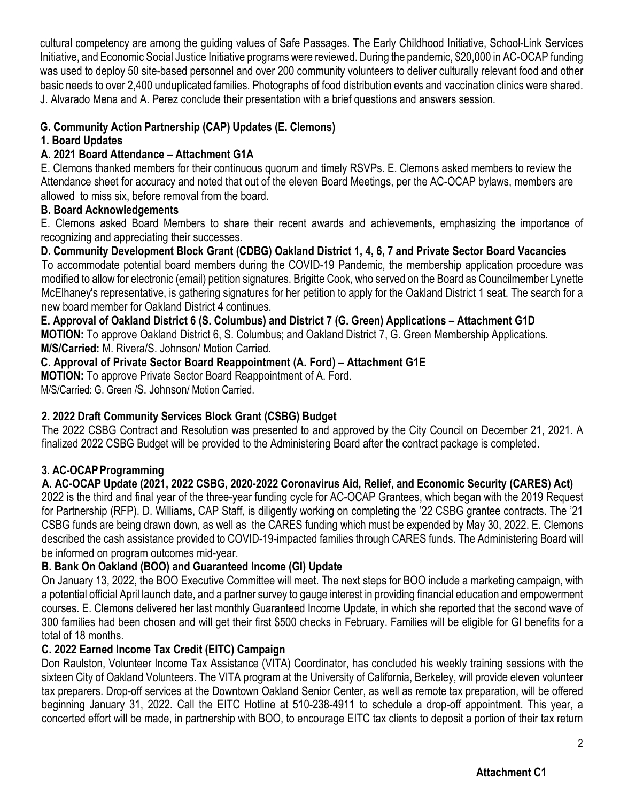cultural competency are among the guiding values of Safe Passages. The Early Childhood Initiative, School-Link Services Initiative, and Economic Social Justice Initiative programs were reviewed. During the pandemic, \$20,000 in AC-OCAP funding was used to deploy 50 site-based personnel and over 200 community volunteers to deliver culturally relevant food and other basic needs to over 2,400 unduplicated families. Photographs of food distribution events and vaccination clinics were shared. J. Alvarado Mena and A. Perez conclude their presentation with a brief questions and answers session.

## **G. Community Action Partnership (CAP) Updates (E. Clemons)**

#### **1. Board Updates**

## **A. 2021 Board Attendance – Attachment G1A**

E. Clemons thanked members for their continuous quorum and timely RSVPs. E. Clemons asked members to review the Attendance sheet for accuracy and noted that out of the eleven Board Meetings, per the AC-OCAP bylaws, members are allowed to miss six, before removal from the board.

#### **B. Board Acknowledgements**

E. Clemons asked Board Members to share their recent awards and achievements, emphasizing the importance of recognizing and appreciating their successes.

**D. Community Development Block Grant (CDBG) Oakland [District 1, 4, 6, 7 and Private Sector Board](https://www.oaklandca.gov/services/join-the-alameda-county-oakland-community-action-partnership-board) Vacancies** To accommodate potential board members during the COVID-19 Pandemic, the membership application procedure was modified to allow for electronic (email) petition signatures. Brigitte Cook, who served on the Board as Councilmember Lynette McElhaney's representative, is gathering signatures for her petition to apply for the Oakland District 1 seat. The search for a new board member for Oakland District 4 continues.

**E. Approval of Oakland District 6 (S. Columbus) and District 7 (G. Green) Applications – Attachment G1D MOTION:** To approve Oakland District 6, S. Columbus; and Oakland District 7, G. Green Membership Applications. **M/S/Carried:** M. Rivera/S. Johnson/ Motion Carried.

**C. Approval of Private Sector Board Reappointment (A. Ford) – Attachment G1E**

**MOTION:** To approve Private Sector Board Reappointment of A. Ford.

M/S/Carried: G. Green /S. Johnson/ Motion Carried.

# **2. 2022 Draft Community Services Block Grant (CSBG) Budget**

The 2022 CSBG Contract and Resolution was presented to and approved by the City Council on December 21, 2021. A finalized 2022 CSBG Budget will be provided to the Administering Board after the contract package is completed.

# **3. AC-OCAP Programming**

**A. AC-OCAP Update (2021, 2022 CSBG, 2020-2022 Coronavirus Aid, Relief, and Economic Security (CARES) Act)** 2022 is the third and final year of the three-year funding cycle for AC-OCAP Grantees, which began with the 2019 Request for Partnership (RFP). D. Williams, CAP Staff, is diligently working on completing the '22 CSBG grantee contracts. The '21 CSBG funds are being drawn down, as well as the CARES funding which must be expended by May 30, 2022. E. Clemons described the cash assistance provided to COVID-19-impacted families through CARES funds. The Administering Board will be informed on program outcomes mid-year.

### **B. Bank On Oakland (BOO) and Guaranteed Income (GI) Update**

On January 13, 2022, the BOO Executive Committee will meet. The next steps for BOO include a marketing campaign, with a potential official April launch date, and a partner survey to gauge interest in providing financial education and empowerment courses. E. Clemons delivered her last monthly Guaranteed Income Update, in which she reported that the second wave of 300 families had been chosen and will get their first \$500 checks in February. Families will be eligible for GI benefits for a total of 18 months.

### **C. 2022 Earned Income Tax Credit (EITC) Campaign**

Don Raulston, Volunteer Income Tax Assistance (VITA) Coordinator, has concluded his weekly training sessions with the sixteen City of Oakland Volunteers. The VITA program at the University of California, Berkeley, will provide eleven volunteer tax preparers. Drop-off services at the Downtown Oakland Senior Center, as well as remote tax preparation, will be offered beginning January 31, 2022. Call the EITC Hotline at 510-238-4911 to schedule a drop-off appointment. This year, a concerted effort will be made, in partnership with BOO, to encourage EITC tax clients to deposit a portion of their tax return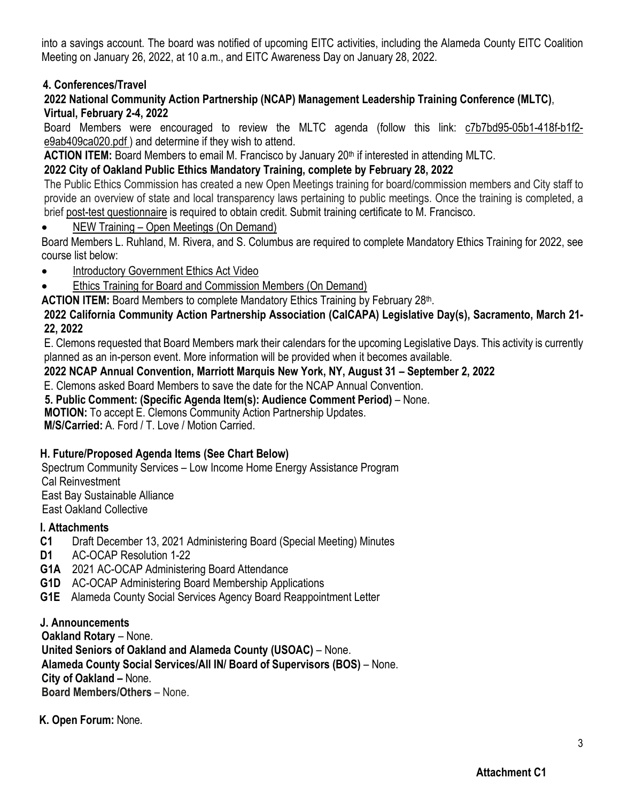into a savings account. The board was notified of upcoming EITC activities, including the Alameda County EITC Coalition Meeting on January 26, 2022, at 10 a.m., and EITC Awareness Day on January 28, 2022.

## **4. Conferences/Travel**

#### **2022 National Community Action Partnership (NCAP) Management Leadership Training Conference (MLTC)**, **Virtual, February 2-4, 2022**

Board Members were encouraged to review the MLTC agenda (follow this link: [c7b7bd95-05b1-418f-b1f2](https://files.constantcontact.com/d1b76d8c201/c7b7bd95-05b1-418f-b1f2-e9ab409ca020.pdf) [e9ab409ca020.pdf \)](https://files.constantcontact.com/d1b76d8c201/c7b7bd95-05b1-418f-b1f2-e9ab409ca020.pdf) and determine if they wish to attend.

**ACTION ITEM:** Board Members to email M. Francisco by January 20<sup>th</sup> if interested in attending MLTC.

## **2022 City of Oakland Public Ethics Mandatory Training, complete by February 28, 2022**

The Public Ethics Commission has created a new Open Meetings training for board/commission members and City staff to provide an overview of state and local transparency laws pertaining to public meetings. Once the training is completed, a brief [post-test questionnaire](https://docs.google.com/forms/d/e/1FAIpQLSdeh8CexUteuIn6DAVJDnve4lUcxyeX6-HaNkL-Rdm8iTYvMg/viewform?usp=sf_link) is required to obtain credit. Submit training certificate to M. Francisco.

• [NEW Training – Open Meetings \(On Demand\)](https://us02web.zoom.us/rec/share/h0By1L7s63lWea6wZpNZrxqpATarNftUDj2sKBFTAbSwIQTFQPM-80Xq01i7IABD.gnMBqdM0WBEEMjYw)

Board Members L. Ruhland, M. Rivera, and S. Columbus are required to complete Mandatory Ethics Training for 2022, see course list below:

- [Introductory Government Ethics Act Video](https://www.youtube.com/watch?v=0ipbGlRVeXM)
- [Ethics Training for Board and Commission Members \(On Demand\)](https://us02web.zoom.us/rec/share/lgtyT_gYEXhDUouc1EI9G5mvkrgJiE7Pi46iu18Kp21oACjPJP_WCJqi79-I08Pp.96XbLwVTWvjT_5VW?startTime=1614369907000)

ACTION ITEM: Board Members to complete Mandatory Ethics Training by February 28th.

#### **2022 California Community Action Partnership Association (CalCAPA) Legislative Day(s), Sacramento, March 21- 22, 2022**

E. Clemons requested that Board Members mark their calendars for the upcoming Legislative Days. This activity is currently planned as an in-person event. More information will be provided when it becomes available.

#### **2022 NCAP Annual Convention, Marriott Marquis New York, NY, August 31 – September 2, 2022**

E. Clemons asked Board Members to save the date for the NCAP Annual Convention.

**5. Public Comment: (Specific Agenda Item(s): Audience Comment Period)** – None.

 **MOTION:** To accept E. Clemons Community Action Partnership Updates.

**M/S/Carried:** A. Ford / T. Love / Motion Carried.

### **H. Future/Proposed Agenda Items (See Chart Below)**

Spectrum Community Services – Low Income Home Energy Assistance Program Cal Reinvestment East Bay Sustainable Alliance East Oakland Collective

#### **I. Attachments**

- **C1** Draft December 13, 2021 Administering Board (Special Meeting) Minutes
- **D1** AC-OCAP Resolution 1-22
- **G1A** 2021 AC-OCAP Administering Board Attendance
- **G1D** AC-OCAP Administering Board Membership Applications
- **G1E** Alameda County Social Services Agency Board Reappointment Letter

### **J. Announcements**

**Oakland Rotary** – None.

**United Seniors of Oakland and Alameda County (USOAC)** – None.

**Alameda County Social Services/All IN/ Board of Supervisors (BOS)** – None.

**City of Oakland –** None.

**Board Members/Others** – None.

 **K. Open Forum:** None.